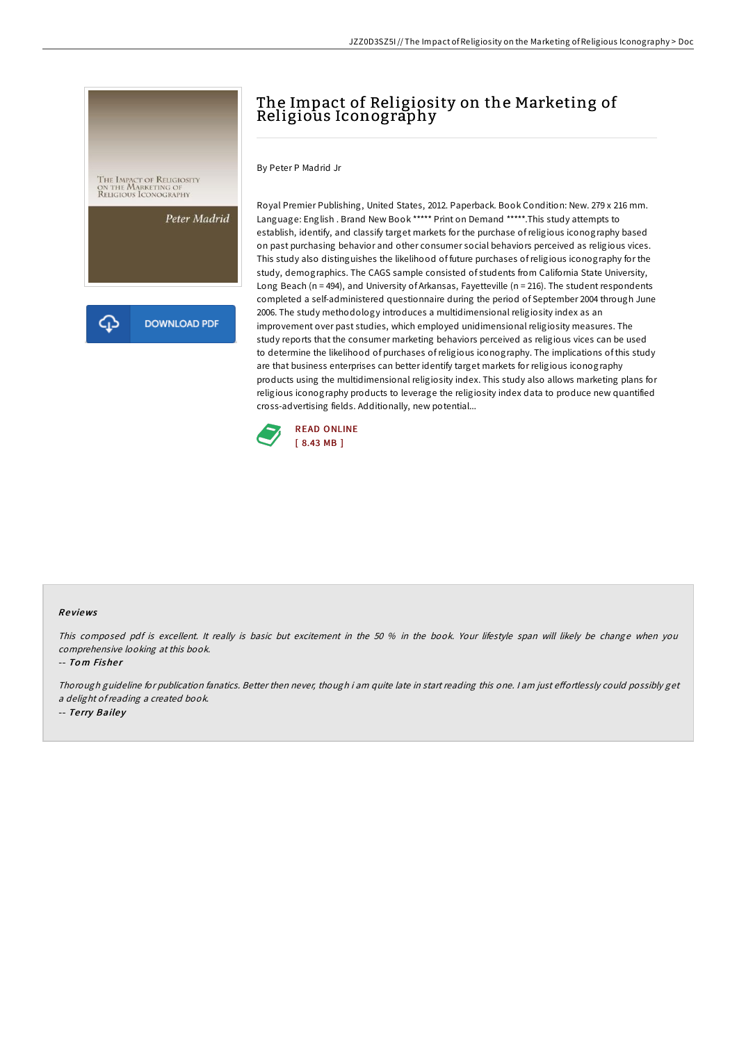

## The Impact of Religiosity on the Marketing of Religious Iconography

By Peter P Madrid Jr

Royal Premier Publishing, United States, 2012. Paperback. Book Condition: New. 279 x 216 mm. Language: English . Brand New Book \*\*\*\*\* Print on Demand \*\*\*\*\*.This study attempts to establish, identify, and classify target markets for the purchase ofreligious iconography based on past purchasing behavior and other consumer social behaviors perceived as religious vices. This study also distinguishes the likelihood of future purchases ofreligious iconography for the study, demographics. The CAGS sample consisted of students from California State University, Long Beach (n = 494), and University of Arkansas, Fayetteville (n = 216). The student respondents completed a self-administered questionnaire during the period of September 2004 through June 2006. The study methodology introduces a multidimensional religiosity index as an improvement over past studies, which employed unidimensional religiosity measures. The study reports that the consumer marketing behaviors perceived as religious vices can be used to determine the likelihood of purchases ofreligious iconography. The implications of this study are that business enterprises can better identify target markets for religious iconography products using the multidimensional religiosity index. This study also allows marketing plans for religious iconography products to leverage the religiosity index data to produce new quantified cross-advertising fields. Additionally, new potential...



## Re views

This composed pdf is excellent. It really is basic but excitement in the 50 % in the book. Your lifestyle span will likely be change when you comprehensive looking at this book.

-- Tom Fisher

Thorough guideline for publication fanatics. Better then never, though i am quite late in start reading this one. <sup>I</sup> am just eFortlessly could possibly get <sup>a</sup> delight ofreading <sup>a</sup> created book. -- Terry Bailey